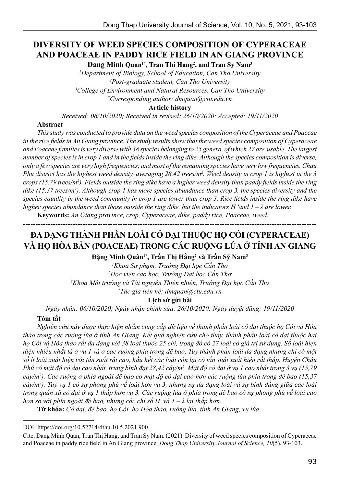# **DIVERSITY OF WEED SPECIES COMPOSITION OF CYPERACEAE AND POACEAE IN PADDY RICE FIELD IN AN GIANG PROVINCE**

**Dang Minh Quan1\*, Tran Thi Hang2 , and Tran Sy Nam3**

*1 Department of Biology, School of Education, Can Tho University 2 Post-graduate student, Can Tho University 3 College of Environment and Natural Resources, Can Tho University*

*\* Corresponding author: dmquan@ctu.edu.vn*

**Article history**

*Received: 06/10/2020; Received in revised: 26/10/2020; Accepted: 19/11/2020*

#### **Abstract**

*This study was conducted to provide data on the weed species composition of the Cyperaceae and Poaceae in the rice fields in An Giang province. The study results show that the weed species composition of Cyperaceae and Poaceae families is very diverse with 38 species belonging to 25 genera, of which 27 are usable. The largest number of species is in crop 1 and in the fields inside the ring dike. Although the species composition is diverse, only a few species are very high frequencies, and most of the remaining species have very low frequencies. Chau Phu district has the highest weed density, averaging 28.42 trees/m2 . Weed density in crop 1 is highest in the 3 crops (15.79 trees/m2 ). Fields outside the ring dike have a higher weed density than paddy fields inside the ring dike (15.37 trees/m2 ). Although crop 1 has more species abundance than crop 3, the species diversity and the species equality in the weed community in crop 1 are lower than crop 3. Rice fields inside the ring dike have higher species abundance than those outside the ring dike, but the indicators H 'and 1 – λ are lower.*

**Keywords:** *An Giang province, crop, Cyperaceae, dike, paddy rice, Poaceae, weed.* 

---------------------------------------------------------------------------------------------------------------------- **ĐA DẠNG THÀNH PHẦN LOÀI CỎ DẠI THUỘC HỌ CÓI (CYPERACEAE)**

# **VÀ HỌ HÒA BẢN (POACEAE) TRONG CÁC RUỘNG LÚA Ở TỈNH AN GIANG**

**Đặng Minh Quân1\*, Trần Thị Hằng<sup>2</sup> và Trần Sỹ Nam<sup>3</sup>**

 *Khoa Sư phạm, Trường Đại học Cần Thơ Học viên cao học, Trường Đại học Cần Thơ Khoa Môi trường và Tài nguyên Thiên nhiên, Trường Đại học Cần Thơ \* Tác giả liên hệ: dmquan@ctu.edu.vn*

#### **Lịch sử gửi bài**

*Ngày nhận: 06/10/2020; Ngày nhận chỉnh sửa: 26/10/2020; Ngày duyệt đăng: 19/11/2020*

#### **Tóm tắt**

*Nghiên cứu này được thực hiện nhằm cung cấp dữ liệu về thành phần loài cỏ dại thuộc họ Cói và Hòa thảo trong các ruộng lúa ở tỉnh An Giang. Kết quả nghiên cứu cho thấy, thành phần loài cỏ dại thuộc hai họ Cói và Hòa thảo rất đa dạng với 38 loài thuộc 25 chi, trong đó có 27 loài có giá trị sử dụng. Số loài hiện diện nhiều nhất là ở vụ 1 và ở các ruộng phía trong đê bao. Tuy thành phần loài đa dạng nhưng chỉ có một số ít loài xuất hiện với tần suất rất cao, hầu hết các loài còn lại có tần suất xuất hiện rất thấp. Huyện Châu*  Phú có mật độ cỏ dại cao nhất, trung bình đạt 28,42 cây/m<sup>2</sup>. Mật độ cỏ dại ở vụ 1 cao nhất trong 3 vụ (15,79 <sup>-</sup> *cây/m2 ). Các ruộng ở phía ngoài đê bao có mật độ cỏ dại cao hơn các ruộng lúa phía trong đê bao (15,37 cây/m2 ). Tuy vụ 1 có sự phong phú về loài hơn vụ 3, nhưng sự đa dạng loài và sự bình đẳng giữa các loài trong quần xã cỏ dại ở vụ 1 thấp hơn vụ 3. Các ruộng lúa ở phía trong đê bao có sự phong phú về loài cao hơn so với phía ngoài đê bao, nhưng các chỉ số H' và 1 – λ lại thấp hơn.*

**Từ khóa:** *Cỏ dại, đê bao, họ Cói, họ Hòa thảo, ruộng lúa, tỉnh An Giang, vụ lúa.*

DOI: https://doi.org/10.52714/dthu.10.5.2021.900

Cite: Dang Minh Quan, Tran Thị Hang, and Tran Sy Nam. (2021). Diversity of weed species composition of Cyperaceae and Poaceae in paddy rice field in An Giang province. *Dong Thap University Journal of Science, 10*(5), 93-103.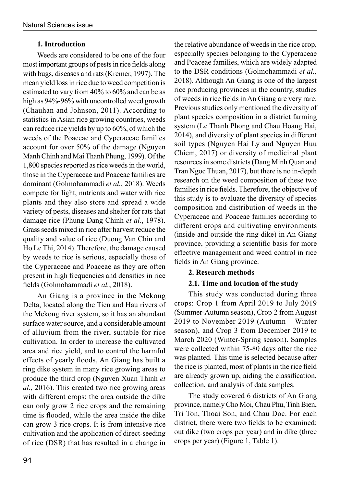# **1. Introduction**

Weeds are considered to be one of the four most important groups of pests in rice fields along with bugs, diseases and rats (Kremer, 1997). The mean yield loss in rice due to weed competition is estimated to vary from 40% to 60% and can be as high as 94%-96% with uncontrolled weed growth (Chauhan and Johnson, 2011). According to statistics in Asian rice growing countries, weeds can reduce rice yields by up to 60%, of which the weeds of the Poaceae and Cyperaceae families account for over 50% of the damage (Nguyen Manh Chinh and Mai Thanh Phung, 1999). Of the 1,800 species reported as rice weeds in the world, those in the Cyperaceae and Poaceae families are dominant (Golmohammadi *et al.*, 2018). Weeds compete for light, nutrients and water with rice plants and they also store and spread a wide variety of pests, diseases and shelter for rats that damage rice (Phung Dang Chinh *et al*., 1978). Grass seeds mixed in rice after harvest reduce the quality and value of rice (Duong Van Chin and Ho Le Thi, 2014). Therefore, the damage caused by weeds to rice is serious, especially those of the Cyperaceae and Poaceae as they are often present in high frequencies and densities in rice fields (Golmohammadi *et al.*, 2018).

An Giang is a province in the Mekong Delta, located along the Tien and Hau rivers of the Mekong river system, so it has an abundant surface water source, and a considerable amount of alluvium from the river, suitable for rice cultivation. In order to increase the cultivated area and rice yield, and to control the harmful effects of yearly floods, An Giang has built a ring dike system in many rice growing areas to produce the third crop (Nguyen Xuan Thinh *et al.*, 2016). This created two rice growing areas with different crops: the area outside the dike can only grow 2 rice crops and the remaining time is flooded, while the area inside the dike can grow 3 rice crops. It is from intensive rice cultivation and the application of direct-seeding of rice (DSR) that has resulted in a change in

the relative abundance of weeds in the rice crop, especially species belonging to the Cyperaceae and Poaceae families, which are widely adapted to the DSR conditions (Golmohammadi *et al.*, 2018). Although An Giang is one of the largest rice producing provinces in the country, studies of weeds in rice fields in An Giang are very rare. Previous studies only mentioned the diversity of plant species composition in a district farming system (Le Thanh Phong and Chau Hoang Hai, 2014), and diversity of plant species in different soil types (Nguyen Hai Ly and Nguyen Huu Chiem, 2017) or diversity of medicinal plant resources in some districts (Dang Minh Quan and Tran Ngoc Thuan, 2017), but there is no in-depth research on the weed composition of these two families in rice fields. Therefore, the objective of this study is to evaluate the diversity of species composition and distribution of weeds in the Cyperaceae and Poaceae families according to different crops and cultivating environments (inside and outside the ring dike) in An Giang province, providing a scientific basis for more effective management and weed control in rice fields in An Giang province.

## **2. Research methods**

# **2.1. Time and location of the study**

This study was conducted during three crops: Crop 1 from April 2019 to July 2019 (Summer-Autumn season), Crop 2 from August 2019 to November 2019 (Autumn – Winter season), and Crop 3 from December 2019 to March 2020 (Winter-Spring season). Samples were collected within 75-80 days after the rice was planted. This time is selected because after the rice is planted, most of plants in the rice field are already grown up, aiding the classification, collection, and analysis of data samples.

The study covered 6 districts of An Giang province, namely Cho Moi, Chau Phu, Tinh Bien, Tri Ton, Thoai Son, and Chau Doc. For each district, there were two fields to be examined: out dike (two crops per year) and in dike (three crops per year) (Figure 1, Table 1).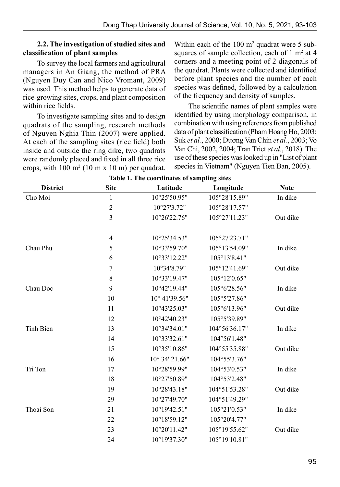#### **2.2. The investigation of studied sites and classification of plant samples**

To survey the local farmers and agricultural managers in An Giang, the method of PRA (Nguyen Duy Can and Nico Vromant, 2009) was used. This method helps to generate data of rice-growing sites, crops, and plant composition within rice fields

To investigate sampling sites and to design quadrats of the sampling, research methods of Nguyen Nghia Thin (2007) were applied. At each of the sampling sites (rice field) both inside and outside the ring dike, two quadrats were randomly placed and fixed in all three rice crops, with  $100 \text{ m}^2 (10 \text{ m} \times 10 \text{ m})$  per quadrat. Within each of the  $100 \text{ m}^2$  quadrat were 5 subsquares of sample collection, each of  $1 \text{ m}^2$  at  $4 \text{ m}^2$ corners and a meeting point of 2 diagonals of the quadrat. Plants were collected and identified before plant species and the number of each species was defined, followed by a calculation of the frequency and density of samples.

The scientific names of plant samples were identified by using morphology comparison, in combination with using references from published data of plant classification (Pham Hoang Ho, 2003; Suk *et al.*, 2000; Dương Van Chin *et al.*, 2003; Vo Van Chi, 2002, 2004; Tran Triet *et al.*, 2018). The use of these species was looked up in "List of plant species in Vietnam" (Nguyen Tien Ban, 2005).

| <b>District</b>  | <b>Site</b>    | Latitude       | Longitude     | <b>Note</b> |
|------------------|----------------|----------------|---------------|-------------|
| Cho Moi          | $\mathbf{1}$   | 10°25'50.95"   | 105°28'15.89" | In dike     |
|                  | $\sqrt{2}$     | 10°27'3.72"    | 105°28'17.57" |             |
|                  | $\overline{3}$ | 10°26'22.76"   | 105°27'11.23" | Out dike    |
|                  |                |                |               |             |
|                  | $\overline{4}$ | 10°25'34.53"   | 105°27'23.71" |             |
| Chau Phu         | 5              | 10°33'59.70"   | 105°13'54.09" | In dike     |
|                  | 6              | 10°33'12.22"   | 105°13'8.41"  |             |
|                  | $\sqrt{ }$     | 10°34'8.79"    | 105°12'41.69" | Out dike    |
|                  | $\,8\,$        | 10°33'19.47"   | 105°12'0.65"  |             |
| Chau Doc         | 9              | 10°42'19.44"   | 105°6'28.56"  | In dike     |
|                  | 10             | 10° 41'39.56"  | 105°5'27.86"  |             |
|                  | 11             | 10°43'25.03"   | 105°6'13.96"  | Out dike    |
|                  | 12             | 10°42'40.23"   | 105°5'39.89"  |             |
| <b>Tinh Bien</b> | 13             | 10°34'34.01"   | 104°56'36.17" | In dike     |
|                  | 14             | 10°33'32.61"   | 104°56'1.48"  |             |
|                  | 15             | 10°35'10.86"   | 104°55'35.88" | Out dike    |
|                  | 16             | 10° 34' 21.66" | 104°55'3.76"  |             |
| Tri Ton          | 17             | 10°28'59.99"   | 104°53'0.53"  | In dike     |
|                  | 18             | 10°27'50.89"   | 104°53'2.48"  |             |
|                  | 19             | 10°28'43.18"   | 104°51'53.28" | Out dike    |
|                  | 29             | 10°27'49.70"   | 104°51'49.29" |             |
| Thoai Son        | 21             | 10°19'42.51"   | 105°21'0.53"  | In dike     |
|                  | 22             | 10°18'59.12"   | 105°20'4.77"  |             |
|                  | 23             | 10°20'11.42"   | 105°19'55.62" | Out dike    |
|                  | 24             | 10°19'37.30"   | 105°19'10.81" |             |

**Table 1. The coordinates of sampling sites**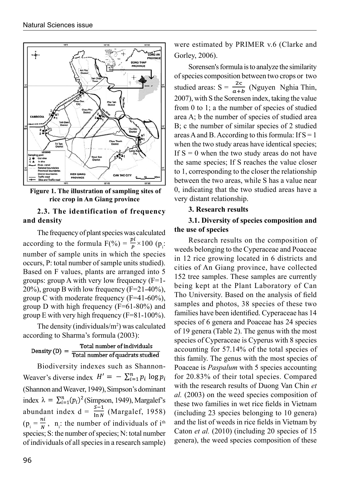

 **Figure 1. The illustration of sampling sites of rice crop in An Giang province**

# **2.3. The identification of frequency and density**

The frequency of plant species was calculated according to the formula  $F(\%) = \frac{F}{p} \times 100$  (p<sub>i</sub>: number of sample units in which the species occurs, P: total number of sample units studied). Based on F values, plants are arranged into 5 groups: group A with very low frequency  $(F=1 20\%$ ), group B with low frequency (F=21-40%), group C with moderate frequency (F=41-60%), group D with high frequency (F=61-80%) and group E with very high frequency (F=81-100%).

The density (individuals/ $m<sup>2</sup>$ ) was calculated according to Sharma's formula (2003):

Total number of individuals<br>Total number of quadrats studied Density  $(D)$  =

Biodiversity indexes such as Shannon-Weaver's diverse index  $H' = -\sum_{i=1}^{n} p_i \log p_i$ (Shannon and Weaver, 1949), Simpson's dominant index  $\lambda = \sum_{i=1}^{n} (p_i)^2$  (Simpson, 1949), Margalef's abundant index  $d = \frac{s-1}{\ln N}$  (Margalef, 1958)  $(p_i = \frac{m}{N}, n_i$ : the number of individuals of i<sup>th</sup> species; S: the number of species; N: total number of individuals of all species in a research sample)

were estimated by PRIMER v.6 (Clarke and Gorley, 2006).

Sorensen's formula is to analyze the similarity of species composition between two crops or two studied areas:  $S = \frac{2c}{a+b}$  (Nguyen Nghia Thin, 2007), with S the Sorensen index, taking the value from 0 to 1; a the number of species of studied area A; b the number of species of studied area B; c the number of similar species of 2 studied areas A and B. According to this formula: If  $S = 1$ when the two study areas have identical species; If  $S = 0$  when the two study areas do not have the same species; If S reaches the value closer to 1, corresponding to the closer the relationship between the two areas, while S has a value near 0, indicating that the two studied areas have a very distant relationship.

# **3. Research results**

# **3.1. Diversity of species composition and the use of species**

Research results on the composition of weeds belonging to the Cyperaceae and Poaceae in 12 rice growing located in 6 districts and cities of An Giang province, have collected 152 tree samples. These samples are currently being kept at the Plant Laboratory of Can Tho University. Based on the analysis of field samples and photos, 38 species of these two families have been identified. Cyperaceae has 14 species of 6 genera and Poaceae has 24 species of 19 genera (Table 2). The genus with the most species of Cyperaceae is Cyperus with 8 species accounting for 57.14% of the total species of this family. The genus with the most species of Poaceae is *Paspalum* with 5 species accounting for 20.83% of their total species. Compared with the research results of Duong Van Chin *et al.* (2003) on the weed species composition of these two families in wet rice fields in Vietnam (including 23 species belonging to 10 genera) and the list of weeds in rice fields in Vietnam by Caton *et al.* (2010) (including 20 species of 15 genera), the weed species composition of these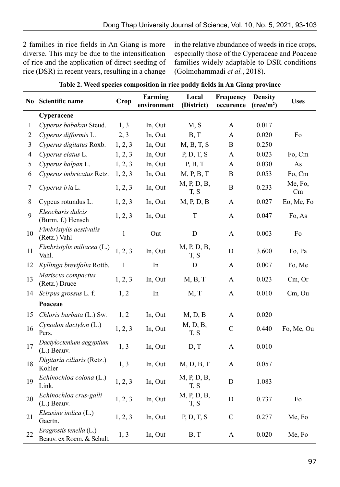2 families in rice fields in An Giang is more diverse. This may be due to the intensification of rice and the application of direct-seeding of rice (DSR) in recent years, resulting in a change in the relative abundance of weeds in rice crops, especially those of the Cyperaceae and Poaceae families widely adaptable to DSR conditions (Golmohammadi *et al.*, 2018).

| No           | Scientific name                                      | Crop         | Farming<br>environment | Local<br>(District) | Frequency<br>occurence | <b>Density</b><br>(tree/m <sup>2</sup> ) | <b>Uses</b>   |
|--------------|------------------------------------------------------|--------------|------------------------|---------------------|------------------------|------------------------------------------|---------------|
|              | Cyperaceae                                           |              |                        |                     |                        |                                          |               |
| $\mathbf{1}$ | Cyperus babakan Steud.                               | 1, 3         | In, Out                | M, S                | A                      | 0.017                                    |               |
| 2            | Cyperus difformis L.                                 | 2, 3         | In, Out                | B, T                | A                      | 0.020                                    | Fo            |
| 3            | Cyperus digitatus Roxb.                              | 1, 2, 3      | In, Out                | M, B, T, S          | $\bf{B}$               | 0.250                                    |               |
| 4            | Cyperus elatus L.                                    | 1, 2, 3      | In, Out                | P, D, T, S          | A                      | 0.023                                    | Fo, Cm        |
| 5            | Cyperus halpan L.                                    | 1, 2, 3      | In, Out                | P, B, T             | A                      | 0.030                                    | As            |
| 6            | Cyperus imbricatus Retz.                             | 1, 2, 3      | In, Out                | M, P, B, T          | B                      | 0.053                                    | Fo, Cm        |
| 7            | Cyperus iria L.                                      | 1, 2, 3      | In, Out                | M, P, D, B,<br>T, S | $\, {\bf B}$           | 0.233                                    | Me, Fo,<br>Cm |
| 8            | Cypeus rotundus L.                                   | 1, 2, 3      | In, Out                | M, P, D, B          | A                      | 0.027                                    | Eo, Me, Fo    |
| 9            | Eleocharis dulcis<br>(Burm. f.) Hensch               | 1, 2, 3      | In, Out                | $\mathbf T$         | A                      | 0.047                                    | Fo, As        |
| 10           | Fimbristylis aestivalis<br>(Retz.) Vahl              | $\mathbf{1}$ | Out                    | D                   | $\mathbf{A}$           | 0.003                                    | Fo            |
| 11           | Fimbristylis miliacea (L.)<br>Vahl.                  | 1, 2, 3      | In, Out                | M, P, D, B,<br>T, S | D                      | 3.600                                    | Fo, Pa        |
| 12           | Kyllinga brevifolia Rottb.                           | $\mathbf{1}$ | In                     | D                   | A                      | 0.007                                    | Fo, Me        |
| 13           | Mariscus compactus<br>(Retz.) Druce                  | 1, 2, 3      | In, Out                | M, B, T             | A                      | 0.023                                    | Cm, Or        |
| 14           | Scirpus grossus L. f.                                | 1, 2         | In                     | M, T                | A                      | 0.010                                    | $Cm$ , Ou     |
|              | Poaceae                                              |              |                        |                     |                        |                                          |               |
| 15           | Chloris barbata (L.) Sw.                             | 1, 2         | In, Out                | M, D, B             | $\mathbf{A}$           | 0.020                                    |               |
| 16           | Cynodon dactylon (L.)<br>Pers.                       | 1, 2, 3      | In, Out                | M, D, B,<br>T, S    | $\mathbf C$            | 0.440                                    | Fo, Me, Ou    |
| 17           | Dactyloctenium aegyptium<br>$(L.)$ Beauv.            | 1, 3         | In, Out                | D, T                | A                      | 0.010                                    |               |
| 18           | Digitaria ciliaris (Retz.)<br>Kohler                 | 1, 3         | In, Out                | M, D, B, T          | A                      | 0.057                                    |               |
| 19           | Echinochloa colona (L.)<br>Link.                     | 1, 2, 3      | In, Out                | M, P, D, B,<br>T, S | $\mathbf D$            | 1.083                                    |               |
| 20           | Echinochloa crus-galli<br>$(L.)$ Beauv.              | 1, 2, 3      | In, Out                | M, P, D, B,<br>T, S | D                      | 0.737                                    | Fo            |
| 21           | Eleusine indica (L.)<br>Gaertn.                      | 1, 2, 3      | In, Out                | P, D, T, S          | $\mathsf C$            | 0.277                                    | Me, Fo        |
| 22           | Eragrostis tenella (L.)<br>Beauv. ex Roem. & Schult. | 1, 3         | In, Out                | B, T                | A                      | 0.020                                    | Me, Fo        |

**Table 2. Weed species composition in rice paddy fields in An Giang province**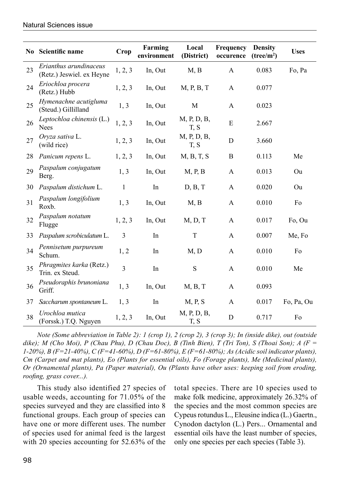|    | No Scientific name                                  | Crop           | Farming<br>environment | Local<br>(District) | <b>Frequency</b><br>occurence | <b>Density</b><br>(tree/m <sup>2</sup> ) | <b>Uses</b> |
|----|-----------------------------------------------------|----------------|------------------------|---------------------|-------------------------------|------------------------------------------|-------------|
| 23 | Erianthus arundinaceus<br>(Retz.) Jeswiel. ex Heyne | 1, 2, 3        | In, Out                | M, B                | A                             | 0.083                                    | Fo, Pa      |
| 24 | Eriochloa procera<br>(Retz.) Hubb                   | 1, 2, 3        | In, Out                | M, P, B, T          | $\mathbf{A}$                  | 0.077                                    |             |
| 25 | Hymenachne acutigluma<br>(Steud.) Gillilland        | 1, 3           | In, Out                | M                   | $\mathbf{A}$                  | 0.023                                    |             |
| 26 | Leptochloa chinensis (L.)<br><b>Nees</b>            | 1, 2, 3        | In, Out                | M, P, D, B,<br>T, S | ${\bf E}$                     | 2.667                                    |             |
| 27 | Oryza sativa L.<br>(wild rice)                      | 1, 2, 3        | In, Out                | M, P, D, B,<br>T, S | $\mathbf D$                   | 3.660                                    |             |
| 28 | Panicum repens L.                                   | 1, 2, 3        | In, Out                | M, B, T, S          | $\bf{B}$                      | 0.113                                    | Me          |
| 29 | Paspalum conjugatum<br>Berg.                        | 1, 3           | In, Out                | M, P, B             | $\mathbf{A}$                  | 0.013                                    | Ou          |
| 30 | Paspalum distichum L.                               | $\mathbf{1}$   | In                     | D, B, T             | $\mathbf{A}$                  | 0.020                                    | Ou          |
| 31 | Paspalum longifolium<br>Roxb.                       | 1, 3           | In, Out                | M, B                | A                             | 0.010                                    | Fo          |
| 32 | Paspalum notatum<br>Flugge                          | 1, 2, 3        | In, Out                | M, D, T             | $\mathbf{A}$                  | 0.017                                    | Fo, Ou      |
| 33 | Paspalum scrobiculatum L.                           | 3              | In                     | $\mathbf T$         | $\mathbf{A}$                  | 0.007                                    | Me, Fo      |
| 34 | Pennisetum purpureum<br>Schum.                      | 1, 2           | In                     | M, D                | A                             | 0.010                                    | Fo          |
| 35 | Phragmites karka (Retz.)<br>Trin. ex Steud.         | $\overline{3}$ | In                     | ${\bf S}$           | $\mathbf{A}$                  | 0.010                                    | Me          |
| 36 | Pseudoraphis brunoniana<br>Griff.                   | 1, 3           | In, Out                | M, B, T             | A                             | 0.093                                    |             |
| 37 | Saccharum spontaneum L.                             | 1, 3           | In                     | M, P, S             | A                             | 0.017                                    | Fo, Pa, Ou  |
| 38 | Urochloa mutica<br>(Forssk.) T.Q. Nguyen            | 1, 2, 3        | In, Out                | M, P, D, B,<br>T, S | D                             | 0.717                                    | Fo          |

*Note (Some abbreviation in Table 2): 1 (crop 1), 2 (crop 2), 3 (crop 3); In (inside dike), out (outside dike); M (Cho Moi), P (Chau Phu), D (Chau Doc), B (Tinh Bien), T (Tri Ton), S (Thoai Son); A (F = 1-20%), B (F=21-40%), C (F=41-60%), D (F=61-80%), E (F=61-80%); As (Acidic soil indicator plants), Cm (Carpet and mat plants), Eo (Plants for essential oils), Fo (Forage plants), Me (Medicinal plants), Or (Ornamental plants), Pa (Paper material), Ou (Plants have other uses: keeping soil from eroding, roofing, grass cover...).*

This study also identified 27 species of usable weeds, accounting for 71.05% of the species surveyed and they are classified into 8 functional groups. Each group of species can have one or more different uses. The number of species used for animal feed is the largest with 20 species accounting for 52.63% of the

total species. There are 10 species used to make folk medicine, approximately 26.32% of the species and the most common species are Cypeus rotundus L., Eleusine indica (L.) Gaertn., Cynodon dactylon (L.) Pers... Ornamental and essential oils have the least number of species, only one species per each species (Table 3).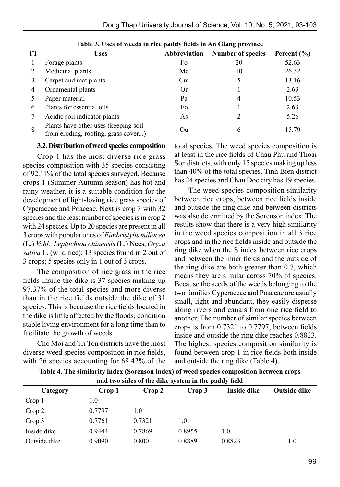| 52.63 |
|-------|
|       |
| 26.32 |
| 13.16 |
| 2.63  |
| 10.53 |
| 2.63  |
| 5.26  |
| 15.79 |
|       |

**Table 3. Uses of weeds in rice paddy fields in An Giang province**

#### **3.2. Distribution of weed species composition**

Crop 1 has the most diverse rice grass species composition with 35 species consisting of 92.11% of the total species surveyed. Because crops 1 (Summer-Autumn season) has hot and rainy weather, it is a suitable condition for the development of light-loving rice grass species of Cyperaceae and Poaceae. Next is crop 3 with 32 species and the least number of species is in crop 2 with 24 species. Up to 20 species are present in all 3 crops with popular ones of *Fimbristylis miliacea* (L.) *Vahl., Leptochloa chinensis* (L.) Nees, *Oryza sativa* L. (wild rice); 13 species found in 2 out of 3 crops; 5 species only in 1 out of 3 crops.

The composition of rice grass in the rice fields inside the dike is 37 species making up 97.37% of the total species and more diverse than in the rice fields outside the dike of 31 species. This is because the rice fields located in the dike is little affected by the floods, condition stable living environment for a long time than to facilitate the growth of weeds.

Cho Moi and Tri Ton districts have the most diverse weed species composition in rice fields, with 26 species accounting for 68.42% of the total species. The weed species composition is at least in the rice fields of Chau Phu and Thoai Son districts, with only 15 species making up less than 40% of the total species. Tinh Bien district has 24 species and Chau Doc city has 19 species.

The weed species composition similarity between rice crops, between rice fields inside and outside the ring dike and between districts was also determined by the Sorenson index. The results show that there is a very high similarity in the weed species composition in all 3 rice crops and in the rice fields inside and outside the ring dike when the S index between rice crops and between the inner fields and the outside of the ring dike are both greater than 0.7, which means they are similar across 70% of species. Because the seeds of the weeds belonging to the two families Cyperaceae and Poaceae are usually small, light and abundant, they easily disperse along rivers and canals from one rice field to another. The number of similar species between crops is from 0.7321 to 0.7797, between fields inside and outside the ring dike reaches 0.8823. The highest species composition similarity is found between crop 1 in rice fields both inside and outside the ring dike (Table 4).

| and two sides of the dike system in the paddy field |        |        |        |             |                     |  |  |
|-----------------------------------------------------|--------|--------|--------|-------------|---------------------|--|--|
| Category                                            | Crop 1 | Crop 2 | Crop 3 | Inside dike | <b>Outside dike</b> |  |  |
| Crop 1                                              | 1.0    |        |        |             |                     |  |  |
| Crop 2                                              | 0.7797 | 1.0    |        |             |                     |  |  |
| Crop 3                                              | 0.7761 | 0.7321 | 1.0    |             |                     |  |  |
| Inside dike                                         | 0.9444 | 0.7869 | 0.8955 | 1.0         |                     |  |  |
| Outside dike                                        | 0.9090 | 0.800  | 0.8889 | 0.8823      | 1.0                 |  |  |

**Table 4. The similarity index (Sorenson index) of weed species composition between crops**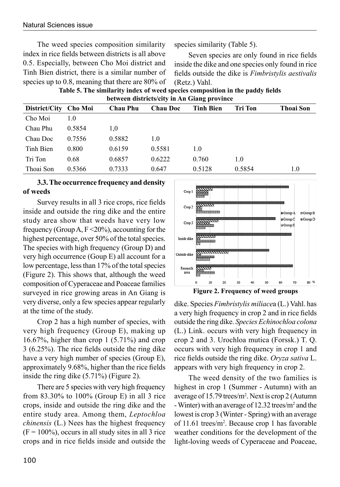The weed species composition similarity index in rice fields between districts is all above 0.5. Especially, between Cho Moi district and Tinh Bien district, there is a similar number of species up to 0.8, meaning that there are 80% of species similarity (Table 5).

Seven species are only found in rice fields inside the dike and one species only found in rice fields outside the dike is *Fimbristylis aestivalis* (Retz.) Vahl.

**Table 5. The similarity index of weed species composition in the paddy fields between districts/city in An Giang province**

| between districts/enty in All Grang province |        |                 |                 |                  |         |                  |  |
|----------------------------------------------|--------|-----------------|-----------------|------------------|---------|------------------|--|
| District/City Cho Moi                        |        | <b>Chau Phu</b> | <b>Chau Doc</b> | <b>Tinh Bien</b> | Tri Ton | <b>Thoai Son</b> |  |
| Cho Moi                                      | 1.0    |                 |                 |                  |         |                  |  |
| Chau Phu                                     | 0.5854 | 1.0             |                 |                  |         |                  |  |
| Chau Doc                                     | 0.7556 | 0.5882          | 1.0             |                  |         |                  |  |
| Tinh Bien                                    | 0.800  | 0.6159          | 0.5581          | 1.0              |         |                  |  |
| Tri Ton                                      | 0.68   | 0.6857          | 0.6222          | 0.760            | 1.0     |                  |  |
| Thoai Son                                    | 0.5366 | 0.7333          | 0.647           | 0.5128           | 0.5854  | 1.0              |  |

## **3.3. The occurrence frequency and density of weeds**

Survey results in all 3 rice crops, rice fields inside and outside the ring dike and the entire study area show that weeds have very low frequency (Group A,  $F \le 20\%$ ), accounting for the highest percentage, over 50% of the total species. The species with high frequency (Group D) and very high occurrence (Goup E) all account for a low percentage, less than 17% of the total species (Figure 2). This shows that, although the weed composition of Cyperaceae and Poaceae families surveyed in rice growing areas in An Giang is very diverse, only a few species appear regularly at the time of the study.

Crop 2 has a high number of species, with very high frequency (Group E), making up 16.67%, higher than crop 1  $(5.71\%)$  and crop 3 (6.25%). The rice fields outside the ring dike have a very high number of species (Group E), approximately 9.68%, higher than the rice fields inside the ring dike (5.71%) (Figure 2).

There are 5 species with very high frequency from 83.30% to 100% (Group E) in all 3 rice crops, inside and outside the ring dike and the entire study area. Among them, *Leptochloa chinensis* (L.) Nees has the highest frequency  $(F = 100\%)$ , occurs in all study sites in all 3 rice crops and in rice fields inside and outside the



dike. Species *Fimbristylis miliace*a (L.) Vahl. has a very high frequency in crop 2 and in rice fields outside the ring dike. *Species Echinochloa colona* (L.) Link. occurs with very high frequency in crop 2 and 3. Urochloa mutica (Forssk.) T. Q. occurs with very high frequency in crop 1 and rice fields outside the ring dike. *Oryza sativa* L. appears with very high frequency in crop 2.

The weed density of the two families is highest in crop 1 (Summer - Autumn) with an average of 15.79 trees/m2 . Next is crop 2 (Autumn - Winter) with an average of 12.32 trees/m<sup>2</sup> and the lowest is crop 3 (Winter - Spring) with an average of 11.61 trees/m2 . Because crop 1 has favorable weather conditions for the development of the light-loving weeds of Cyperaceae and Poaceae,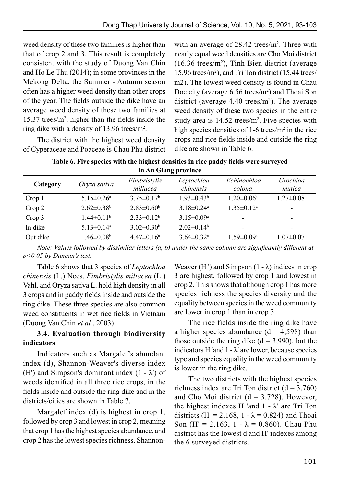weed density of these two families is higher than that of crop 2 and 3. This result is completely consistent with the study of Duong Van Chin and Ho Le Thu (2014); in some provinces in the Mekong Delta, the Summer - Autumn season often has a higher weed density than other crops of the year. The fields outside the dike have an average weed density of these two families at  $15.37$  trees/m<sup>2</sup>, higher than the fields inside the ring dike with a density of 13.96 trees/m2 .

The district with the highest weed density of Cyperaceae and Poaceae is Chau Phu district with an average of  $28.42$  trees/ $m<sup>2</sup>$ . Three with nearly equal weed densities are Cho Moi district  $(16.36 \text{ trees/m}^2)$ , Tinh Bien district (average 15.96 trees/m2 ), and Tri Ton district (15.44 trees/ m2). The lowest weed density is found in Chau Doc city (average 6.56 trees/m<sup>2</sup>) and Thoai Son district (average  $4.40$  trees/m<sup>2</sup>). The average weed density of these two species in the entire study area is  $14.52$  trees/m<sup>2</sup>. Five species with high species densities of  $1-6$  trees/ $m<sup>2</sup>$  in the rice crops and rice fields inside and outside the ring dike are shown in Table 6.

| Table 6. Five species with the highest densities in rice paddy fields were surveyed |  |
|-------------------------------------------------------------------------------------|--|
| in An Giang province                                                                |  |
|                                                                                     |  |

| Category | Oryza sativa                 | Fimbristylis<br>miliacea | Leptochloa<br>chinensis      | Echinochloa<br>colona   | Urochloa<br>mutica           |
|----------|------------------------------|--------------------------|------------------------------|-------------------------|------------------------------|
| Crop 1   | $5.15 \pm 0.26^a$            | $3.75 \pm 0.17^b$        | $1.93 \pm 0.43^b$            | $1.20 \pm 0.06^a$       | $1.27 \pm 0.08$ <sup>a</sup> |
| Crop 2   | $2.62 \pm 0.38$ <sup>b</sup> | $2.83 \pm 0.60^b$        | 3 18 $\pm$ 0 24 <sup>a</sup> | $1.35 \pm 0.12^a$       | $\overline{\phantom{a}}$     |
| Crop 3   | $1.44 \pm 0.11^b$            | $2.33 \pm 0.12^b$        | $3.15 \pm 0.09^a$            | -                       | $\overline{\phantom{a}}$     |
| In dike  | $5.13 \pm 0.14$ <sup>a</sup> | $3.02 \pm 0.30^b$        | $2.02 \pm 0.14^b$            | -                       | $\overline{\phantom{0}}$     |
| Out dike | $1.46 \pm 0.08$ <sup>b</sup> | $4.47\pm0.16^a$          | $3.64 \pm 0.32$ <sup>a</sup> | $1.59 \pm 0.09^{\rm a}$ | $1.07 \pm 0.07$ <sup>a</sup> |

*Note: Values followed by dissimilar letters (a, b) under the same column are significantly different at p<0.05 by Duncan's test.*

Table 6 shows that 3 species of *Leptochloa chinensis* (L.) Nees, *Fimbristylis miliacea* (L.) Vahl. and Oryza sativa L. hold high density in all 3 crops and in paddy fields inside and outside the ring dike. These three species are also common weed constituents in wet rice fields in Vietnam (Duong Van Chin *et al.*, 2003).

# **3.4. Evaluation through biodiversity indicators**

Indicators such as Margalef's abundant index (d), Shannon-Weaver's diverse index (H') and Simpson's dominant index  $(1 - \lambda')$  of weeds identified in all three rice crops, in the fields inside and outside the ring dike and in the districts/cities are shown in Table 7.

Margalef index (d) is highest in crop 1, followed by crop 3 and lowest in crop 2, meaning that crop 1 has the highest species abundance, and crop 2 has the lowest species richness. ShannonWeaver (H ') and Simpson  $(1 - \lambda)$  indices in crop 3 are highest, followed by crop 1 and lowest in crop 2. This shows that although crop 1 has more species richness the species diversity and the equality between species in the weed community are lower in crop 1 than in crop 3.

The rice fields inside the ring dike have a higher species abundance  $(d = 4,598)$  than those outside the ring dike  $(d = 3,990)$ , but the indicators H 'and  $1 - \lambda$ ' are lower, because species type and species equality in the weed community is lower in the ring dike.

The two districts with the highest species richness index are Tri Ton district  $(d = 3,760)$ and Cho Moi district  $(d = 3.728)$ . However, the highest indexes H 'and  $1 - \lambda$ ' are Tri Ton districts (H '= 2.168, 1 -  $\lambda$  = 0.824) and Thoai Son (H' = 2.163, 1 -  $\lambda$  = 0.860). Chau Phu district has the lowest d and H' indexes among the 6 surveyed districts.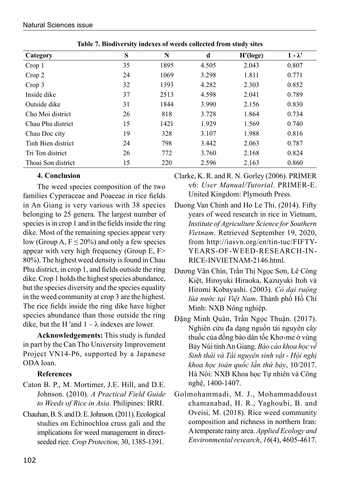| Category           | S  | N    | d     | H' (loge) | $1 - \lambda'$ |
|--------------------|----|------|-------|-----------|----------------|
| Crop 1             | 35 | 1895 | 4.505 | 2.043     | 0.807          |
| Crop 2             | 24 | 1069 | 3.298 | 1.811     | 0.771          |
| Crop 3             | 32 | 1393 | 4.282 | 2.303     | 0.852          |
| Inside dike        | 37 | 2513 | 4.598 | 2.041     | 0.789          |
| Outside dike       | 31 | 1844 | 3.990 | 2.156     | 0.830          |
| Cho Moi district   | 26 | 818  | 3.728 | 1.864     | 0.734          |
| Chau Phu district  | 15 | 1421 | 1.929 | 1.569     | 0.740          |
| Chau Doc city      | 19 | 328  | 3.107 | 1.988     | 0.816          |
| Tinh Bien district | 24 | 798  | 3.442 | 2.063     | 0.787          |
| Tri Ton district   | 26 | 772  | 3.760 | 2.168     | 0.824          |
| Thoai Son district | 15 | 220  | 2.596 | 2.163     | 0.860          |

**Table 7. Biodiversity indexes of weeds collected from study sites**

# **4. Conclusion**

The weed species composition of the two families Cyperaceae and Poaceae in rice fields in An Giang is very various with 38 species belonging to 25 genera. The largest number of species is in crop 1 and in the fields inside the ring dike. Most of the remaining species appear very low (Group A,  $F \le 20\%$ ) and only a few species appear with very high frequency (Group E, F> 80%). The highest weed density is found in Chau Phu district, in crop 1, and fields outside the ring dike. Crop 1 holds the highest species abundance, but the species diversity and the species equality in the weed community at crop 3 are the highest. The rice fields inside the ring dike have higher species abundance than those outside the ring dike, but the H 'and  $1 - \lambda$  indexes are lower.

**Acknowledgements:** This study is funded in part by the Can Tho University Improvement Project VN14-P6, supported by a Japanese ODA loan.

## **References**

- Caton B. P., M. Mortimer, J.E. Hill, and D.E. Johnson. (2010). *A Practical Field Guide to Weeds of Rice in Asia*. Philipines: IRRI.
- Chauhan, B. S. and D. E. Johnson. (2011). Ecological studies on Echinochloa cruss gali and the implications for weed management in directseeded rice. *Crop Protection*, 30, 1385-1391.

Clarke, K. R. and R. N. Gorley (2006). PRIMER v6: *User Manual/Tutorial*. PRIMER-E. United Kingdom: Plymouth Press.

- Duong Van Chinh and Ho Le Thi. (2014). Fifty years of weed research in rice in Vietnam, *Institute of Agriculture Science for Southern Vietnam*. Retrieved September 19, 2020, from http://iasvn.org/en/tin-tuc/FIFTY-YEARS-OF-WEED-RESEARCH-IN-RICE-INVIETNAM-2146.html.
- Dương Văn Chín, Trần Thị Ngọc Sơn, Lê Công Kiệt, Hiroyuki Hiraoka, Kazuyuki Itoh và Hiromi Kobayashi. (2003). *Cỏ dại ruộng lúa nước tại Việt Nam*. Thành phố Hồ Chí Minh: NXB Nông nghiệp.
- Đặng Minh Quân, Trần Ngọc Thuận. (2017). Nghiên cứu đa dạng nguồn tài nguyên cây thuốc của đồng bào dân tốc Khơ-me ở vùng Bảy Núi tỉnh An Giang. *Báo cáo khoa học về Sinh thái và Tài nguyên sinh vật - Hội nghị khoa học toàn quốc lần thứ bảy*, 10/2017. Hà Nôi: NXB Khoa học Tự nhiên và Công nghệ, 1400-1407.
- Golmohammadi, M. J., Mohammaddoust chamanabad, H. R., Yaghoubi, B. and Oveisi, M. (2018). Rice weed community composition and richness in northern Iran: A temperate rainy area. *Applied Ecology and Environmental research*, *16*(4), 4605-4617.